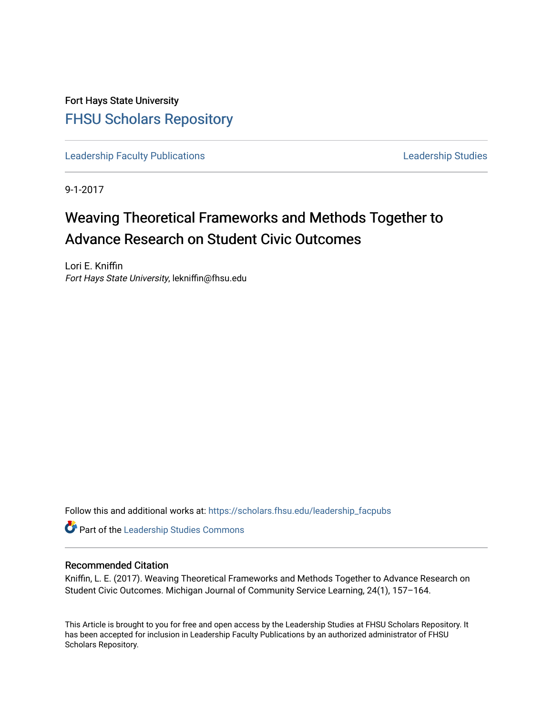Fort Hays State University [FHSU Scholars Repository](https://scholars.fhsu.edu/) 

[Leadership Faculty Publications](https://scholars.fhsu.edu/leadership_facpubs) **Leadership Studies** Leadership Studies

9-1-2017

# Weaving Theoretical Frameworks and Methods Together to Advance Research on Student Civic Outcomes

Lori E. Kniffin Fort Hays State University, lekniffin@fhsu.edu

Follow this and additional works at: [https://scholars.fhsu.edu/leadership\\_facpubs](https://scholars.fhsu.edu/leadership_facpubs?utm_source=scholars.fhsu.edu%2Fleadership_facpubs%2F6&utm_medium=PDF&utm_campaign=PDFCoverPages)

Part of the [Leadership Studies Commons](http://network.bepress.com/hgg/discipline/1250?utm_source=scholars.fhsu.edu%2Fleadership_facpubs%2F6&utm_medium=PDF&utm_campaign=PDFCoverPages) 

# Recommended Citation

Kniffin, L. E. (2017). Weaving Theoretical Frameworks and Methods Together to Advance Research on Student Civic Outcomes. Michigan Journal of Community Service Learning, 24(1), 157–164.

This Article is brought to you for free and open access by the Leadership Studies at FHSU Scholars Repository. It has been accepted for inclusion in Leadership Faculty Publications by an authorized administrator of FHSU Scholars Repository.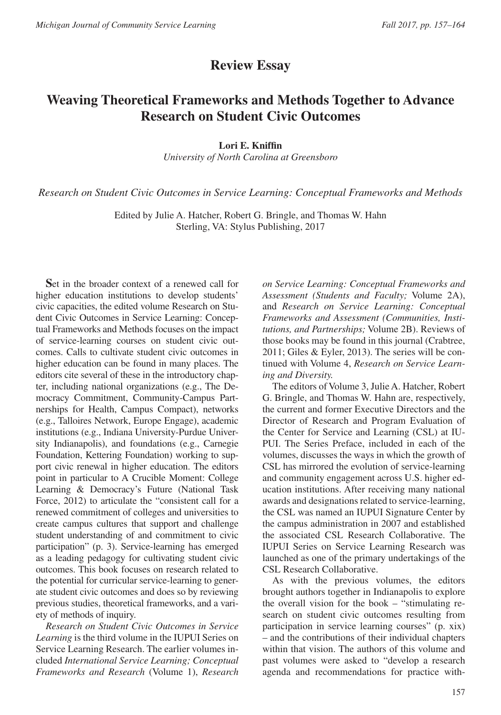# **Review Essay**

# **Weaving Theoretical Frameworks and Methods Together to Advance Research on Student Civic Outcomes**

#### **Lori E. Kniffin**

*University of North Carolina at Greensboro*

*Research on Student Civic Outcomes in Service Learning: Conceptual Frameworks and Methods*

Edited by Julie A. Hatcher, Robert G. Bringle, and Thomas W. Hahn Sterling, VA: Stylus Publishing, 2017

**S**et in the broader context of a renewed call for higher education institutions to develop students' civic capacities, the edited volume Research on Student Civic Outcomes in Service Learning: Conceptual Frameworks and Methods focuses on the impact of service-learning courses on student civic outcomes. Calls to cultivate student civic outcomes in higher education can be found in many places. The editors cite several of these in the introductory chapter, including national organizations (e.g., The Democracy Commitment, Community-Campus Partnerships for Health, Campus Compact), networks (e.g., Talloires Network, Europe Engage), academic institutions (e.g., Indiana University-Purdue University Indianapolis), and foundations (e.g., Carnegie Foundation, Kettering Foundation) working to support civic renewal in higher education. The editors point in particular to A Crucible Moment: College Learning & Democracy's Future (National Task Force, 2012) to articulate the "consistent call for a renewed commitment of colleges and universities to create campus cultures that support and challenge student understanding of and commitment to civic participation" (p. 3). Service-learning has emerged as a leading pedagogy for cultivating student civic outcomes. This book focuses on research related to the potential for curricular service-learning to generate student civic outcomes and does so by reviewing previous studies, theoretical frameworks, and a variety of methods of inquiry.

*Research on Student Civic Outcomes in Service Learning* is the third volume in the IUPUI Series on Service Learning Research. The earlier volumes included *International Service Learning; Conceptual Frameworks and Research* (Volume 1), *Research* 

*on Service Learning: Conceptual Frameworks and Assessment (Students and Faculty;* Volume 2A), and *Research on Service Learning: Conceptual Frameworks and Assessment (Communities, Institutions, and Partnerships;* Volume 2B). Reviews of those books may be found in this journal (Crabtree, 2011; Giles & Eyler, 2013). The series will be continued with Volume 4, *Research on Service Learning and Diversity.*

The editors of Volume 3, Julie A. Hatcher, Robert G. Bringle, and Thomas W. Hahn are, respectively, the current and former Executive Directors and the Director of Research and Program Evaluation of the Center for Service and Learning (CSL) at IU-PUI. The Series Preface, included in each of the volumes, discusses the ways in which the growth of CSL has mirrored the evolution of service-learning and community engagement across U.S. higher education institutions. After receiving many national awards and designations related to service-learning, the CSL was named an IUPUI Signature Center by the campus administration in 2007 and established the associated CSL Research Collaborative. The IUPUI Series on Service Learning Research was launched as one of the primary undertakings of the CSL Research Collaborative.

As with the previous volumes, the editors brought authors together in Indianapolis to explore the overall vision for the book – "stimulating research on student civic outcomes resulting from participation in service learning courses" (p. xix) – and the contributions of their individual chapters within that vision. The authors of this volume and past volumes were asked to "develop a research agenda and recommendations for practice with-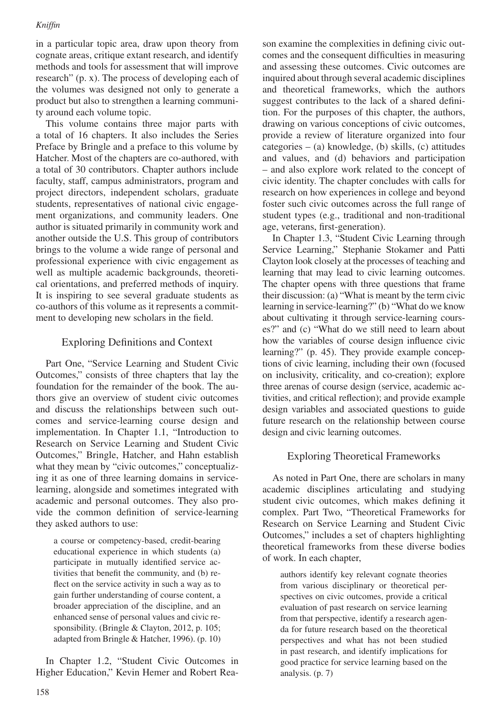in a particular topic area, draw upon theory from cognate areas, critique extant research, and identify methods and tools for assessment that will improve research" (p. x). The process of developing each of the volumes was designed not only to generate a product but also to strengthen a learning community around each volume topic.

This volume contains three major parts with a total of 16 chapters. It also includes the Series Preface by Bringle and a preface to this volume by Hatcher. Most of the chapters are co-authored, with a total of 30 contributors. Chapter authors include faculty, staff, campus administrators, program and project directors, independent scholars, graduate students, representatives of national civic engagement organizations, and community leaders. One author is situated primarily in community work and another outside the U.S. This group of contributors brings to the volume a wide range of personal and professional experience with civic engagement as well as multiple academic backgrounds, theoretical orientations, and preferred methods of inquiry. It is inspiring to see several graduate students as co-authors of this volume as it represents a commitment to developing new scholars in the field.

# Exploring Definitions and Context

Part One, "Service Learning and Student Civic Outcomes," consists of three chapters that lay the foundation for the remainder of the book. The authors give an overview of student civic outcomes and discuss the relationships between such outcomes and service-learning course design and implementation. In Chapter 1.1, "Introduction to Research on Service Learning and Student Civic Outcomes," Bringle, Hatcher, and Hahn establish what they mean by "civic outcomes," conceptualizing it as one of three learning domains in servicelearning, alongside and sometimes integrated with academic and personal outcomes. They also provide the common definition of service-learning they asked authors to use:

a course or competency-based, credit-bearing educational experience in which students (a) participate in mutually identified service activities that benefit the community, and (b) reflect on the service activity in such a way as to gain further understanding of course content, a broader appreciation of the discipline, and an enhanced sense of personal values and civic responsibility. (Bringle & Clayton, 2012, p. 105; adapted from Bringle & Hatcher, 1996). (p. 10)

In Chapter 1.2, "Student Civic Outcomes in Higher Education," Kevin Hemer and Robert Reason examine the complexities in defining civic outcomes and the consequent difficulties in measuring and assessing these outcomes. Civic outcomes are inquired about through several academic disciplines and theoretical frameworks, which the authors suggest contributes to the lack of a shared definition. For the purposes of this chapter, the authors, drawing on various conceptions of civic outcomes, provide a review of literature organized into four categories – (a) knowledge, (b) skills, (c) attitudes and values, and (d) behaviors and participation – and also explore work related to the concept of civic identity. The chapter concludes with calls for research on how experiences in college and beyond foster such civic outcomes across the full range of student types (e.g., traditional and non-traditional age, veterans, first-generation).

In Chapter 1.3, "Student Civic Learning through Service Learning," Stephanie Stokamer and Patti Clayton look closely at the processes of teaching and learning that may lead to civic learning outcomes. The chapter opens with three questions that frame their discussion: (a) "What is meant by the term civic learning in service-learning?" (b) "What do we know about cultivating it through service-learning courses?" and (c) "What do we still need to learn about how the variables of course design influence civic learning?" (p. 45). They provide example conceptions of civic learning, including their own (focused on inclusivity, criticality, and co-creation); explore three arenas of course design (service, academic activities, and critical reflection); and provide example design variables and associated questions to guide future research on the relationship between course design and civic learning outcomes.

# Exploring Theoretical Frameworks

As noted in Part One, there are scholars in many academic disciplines articulating and studying student civic outcomes, which makes defining it complex. Part Two, "Theoretical Frameworks for Research on Service Learning and Student Civic Outcomes," includes a set of chapters highlighting theoretical frameworks from these diverse bodies of work. In each chapter,

authors identify key relevant cognate theories from various disciplinary or theoretical perspectives on civic outcomes, provide a critical evaluation of past research on service learning from that perspective, identify a research agenda for future research based on the theoretical perspectives and what has not been studied in past research, and identify implications for good practice for service learning based on the analysis. (p. 7)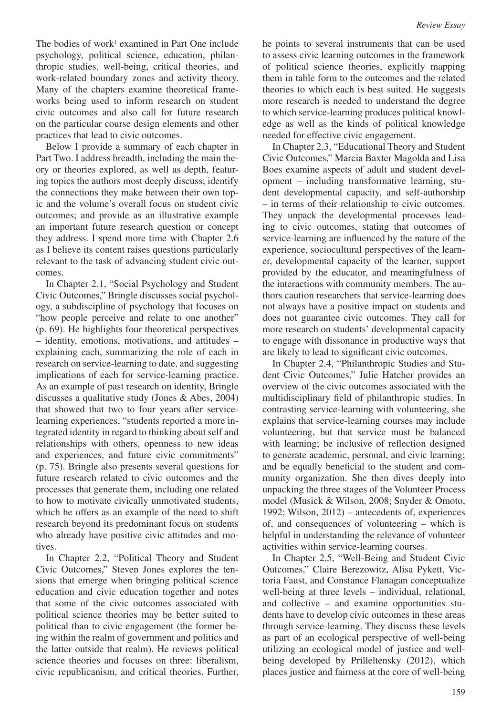The bodies of work<sup>1</sup> examined in Part One include psychology, political science, education, philanthropic studies, well-being, critical theories, and work-related boundary zones and activity theory. Many of the chapters examine theoretical frameworks being used to inform research on student civic outcomes and also call for future research on the particular course design elements and other practices that lead to civic outcomes.

Below I provide a summary of each chapter in Part Two. I address breadth, including the main theory or theories explored, as well as depth, featuring topics the authors most deeply discuss; identify the connections they make between their own topic and the volume's overall focus on student civic outcomes; and provide as an illustrative example an important future research question or concept they address. I spend more time with Chapter 2.6 as I believe its content raises questions particularly relevant to the task of advancing student civic outcomes.

In Chapter 2.1, "Social Psychology and Student Civic Outcomes," Bringle discusses social psychology, a subdiscipline of psychology that focuses on "how people perceive and relate to one another" (p. 69). He highlights four theoretical perspectives – identity, emotions, motivations, and attitudes – explaining each, summarizing the role of each in research on service-learning to date, and suggesting implications of each for service-learning practice. As an example of past research on identity, Bringle discusses a qualitative study (Jones & Abes, 2004) that showed that two to four years after servicelearning experiences, "students reported a more integrated identity in regard to thinking about self and relationships with others, openness to new ideas and experiences, and future civic commitments" (p. 75). Bringle also presents several questions for future research related to civic outcomes and the processes that generate them, including one related to how to motivate civically unmotivated students, which he offers as an example of the need to shift research beyond its predominant focus on students who already have positive civic attitudes and motives.

In Chapter 2.2, "Political Theory and Student Civic Outcomes," Steven Jones explores the tensions that emerge when bringing political science education and civic education together and notes that some of the civic outcomes associated with political science theories may be better suited to political than to civic engagement (the former being within the realm of government and politics and the latter outside that realm). He reviews political science theories and focuses on three: liberalism, civic republicanism, and critical theories. Further, he points to several instruments that can be used to assess civic learning outcomes in the framework of political science theories, explicitly mapping them in table form to the outcomes and the related theories to which each is best suited. He suggests more research is needed to understand the degree to which service-learning produces political knowledge as well as the kinds of political knowledge needed for effective civic engagement.

In Chapter 2.3, "Educational Theory and Student Civic Outcomes," Marcia Baxter Magolda and Lisa Boes examine aspects of adult and student development – including transformative learning, student developmental capacity, and self-authorship – in terms of their relationship to civic outcomes. They unpack the developmental processes leading to civic outcomes, stating that outcomes of service-learning are influenced by the nature of the experience, sociocultural perspectives of the learner, developmental capacity of the learner, support provided by the educator, and meaningfulness of the interactions with community members. The authors caution researchers that service-learning does not always have a positive impact on students and does not guarantee civic outcomes. They call for more research on students' developmental capacity to engage with dissonance in productive ways that are likely to lead to significant civic outcomes.

In Chapter 2.4, "Philanthropic Studies and Student Civic Outcomes," Julie Hatcher provides an overview of the civic outcomes associated with the multidisciplinary field of philanthropic studies. In contrasting service-learning with volunteering, she explains that service-learning courses may include volunteering, but that service must be balanced with learning; be inclusive of reflection designed to generate academic, personal, and civic learning; and be equally beneficial to the student and community organization. She then dives deeply into unpacking the three stages of the Volunteer Process model (Musick & Wilson, 2008; Snyder & Omoto, 1992; Wilson, 2012) – antecedents of, experiences of, and consequences of volunteering – which is helpful in understanding the relevance of volunteer activities within service-learning courses.

In Chapter 2.5, "Well-Being and Student Civic Outcomes," Claire Berezowitz, Alisa Pykett, Victoria Faust, and Constance Flanagan conceptualize well-being at three levels – individual, relational, and collective – and examine opportunities students have to develop civic outcomes in these areas through service-learning. They discuss these levels as part of an ecological perspective of well-being utilizing an ecological model of justice and wellbeing developed by Prilleltensky (2012), which places justice and fairness at the core of well-being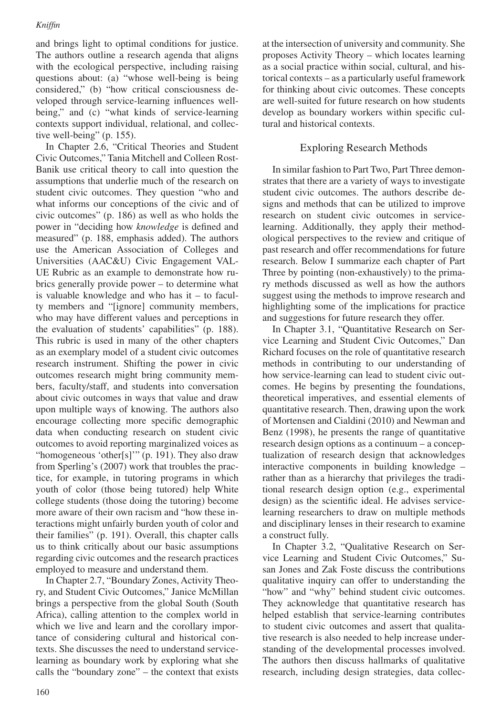and brings light to optimal conditions for justice. The authors outline a research agenda that aligns with the ecological perspective, including raising questions about: (a) "whose well-being is being considered," (b) "how critical consciousness developed through service-learning influences wellbeing," and (c) "what kinds of service-learning contexts support individual, relational, and collective well-being" (p. 155).

In Chapter 2.6, "Critical Theories and Student Civic Outcomes," Tania Mitchell and Colleen Rost-Banik use critical theory to call into question the assumptions that underlie much of the research on student civic outcomes. They question "who and what informs our conceptions of the civic and of civic outcomes" (p. 186) as well as who holds the power in "deciding how *knowledge* is defined and measured" (p. 188, emphasis added). The authors use the American Association of Colleges and Universities (AAC&U) Civic Engagement VAL-UE Rubric as an example to demonstrate how rubrics generally provide power – to determine what is valuable knowledge and who has it – to faculty members and "[ignore] community members, who may have different values and perceptions in the evaluation of students' capabilities" (p. 188). This rubric is used in many of the other chapters as an exemplary model of a student civic outcomes research instrument. Shifting the power in civic outcomes research might bring community members, faculty/staff, and students into conversation about civic outcomes in ways that value and draw upon multiple ways of knowing. The authors also encourage collecting more specific demographic data when conducting research on student civic outcomes to avoid reporting marginalized voices as "homogeneous 'other[s]'" (p. 191). They also draw from Sperling's (2007) work that troubles the practice, for example, in tutoring programs in which youth of color (those being tutored) help White college students (those doing the tutoring) become more aware of their own racism and "how these interactions might unfairly burden youth of color and their families" (p. 191). Overall, this chapter calls us to think critically about our basic assumptions regarding civic outcomes and the research practices employed to measure and understand them.

In Chapter 2.7, "Boundary Zones, Activity Theory, and Student Civic Outcomes," Janice McMillan brings a perspective from the global South (South Africa), calling attention to the complex world in which we live and learn and the corollary importance of considering cultural and historical contexts. She discusses the need to understand servicelearning as boundary work by exploring what she calls the "boundary zone" – the context that exists

at the intersection of university and community. She proposes Activity Theory – which locates learning as a social practice within social, cultural, and historical contexts – as a particularly useful framework for thinking about civic outcomes. These concepts are well-suited for future research on how students develop as boundary workers within specific cultural and historical contexts.

### Exploring Research Methods

In similar fashion to Part Two, Part Three demonstrates that there are a variety of ways to investigate student civic outcomes. The authors describe designs and methods that can be utilized to improve research on student civic outcomes in servicelearning. Additionally, they apply their methodological perspectives to the review and critique of past research and offer recommendations for future research. Below I summarize each chapter of Part Three by pointing (non-exhaustively) to the primary methods discussed as well as how the authors suggest using the methods to improve research and highlighting some of the implications for practice and suggestions for future research they offer.

In Chapter 3.1, "Quantitative Research on Service Learning and Student Civic Outcomes," Dan Richard focuses on the role of quantitative research methods in contributing to our understanding of how service-learning can lead to student civic outcomes. He begins by presenting the foundations, theoretical imperatives, and essential elements of quantitative research. Then, drawing upon the work of Mortensen and Cialdini (2010) and Newman and Benz (1998), he presents the range of quantitative research design options as a continuum – a conceptualization of research design that acknowledges interactive components in building knowledge – rather than as a hierarchy that privileges the traditional research design option (e.g., experimental design) as the scientific ideal. He advises servicelearning researchers to draw on multiple methods and disciplinary lenses in their research to examine a construct fully.

In Chapter 3.2, "Qualitative Research on Service Learning and Student Civic Outcomes," Susan Jones and Zak Foste discuss the contributions qualitative inquiry can offer to understanding the "how" and "why" behind student civic outcomes. They acknowledge that quantitative research has helped establish that service-learning contributes to student civic outcomes and assert that qualitative research is also needed to help increase understanding of the developmental processes involved. The authors then discuss hallmarks of qualitative research, including design strategies, data collec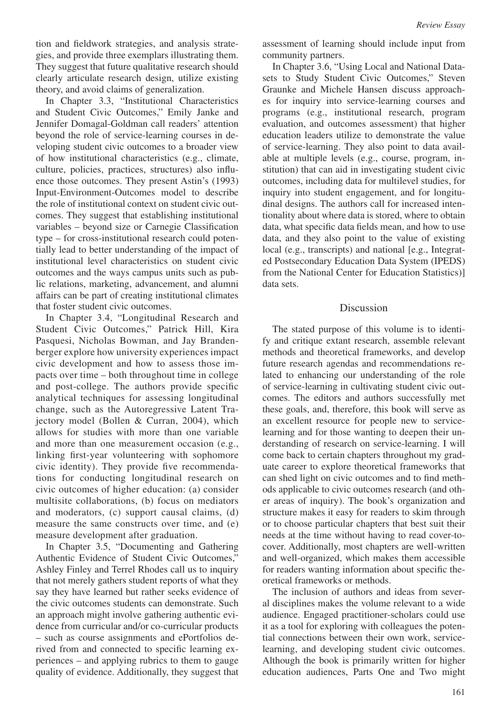tion and fieldwork strategies, and analysis strategies, and provide three exemplars illustrating them. They suggest that future qualitative research should clearly articulate research design, utilize existing theory, and avoid claims of generalization.

In Chapter 3.3, "Institutional Characteristics and Student Civic Outcomes," Emily Janke and Jennifer Domagal-Goldman call readers' attention beyond the role of service-learning courses in developing student civic outcomes to a broader view of how institutional characteristics (e.g., climate, culture, policies, practices, structures) also influence those outcomes. They present Astin's (1993) Input-Environment-Outcomes model to describe the role of institutional context on student civic outcomes. They suggest that establishing institutional variables – beyond size or Carnegie Classification type – for cross-institutional research could potentially lead to better understanding of the impact of institutional level characteristics on student civic outcomes and the ways campus units such as public relations, marketing, advancement, and alumni affairs can be part of creating institutional climates that foster student civic outcomes.

In Chapter 3.4, "Longitudinal Research and Student Civic Outcomes," Patrick Hill, Kira Pasquesi, Nicholas Bowman, and Jay Brandenberger explore how university experiences impact civic development and how to assess those impacts over time – both throughout time in college and post-college. The authors provide specific analytical techniques for assessing longitudinal change, such as the Autoregressive Latent Trajectory model (Bollen & Curran, 2004), which allows for studies with more than one variable and more than one measurement occasion (e.g., linking first-year volunteering with sophomore civic identity). They provide five recommendations for conducting longitudinal research on civic outcomes of higher education: (a) consider multisite collaborations, (b) focus on mediators and moderators, (c) support causal claims, (d) measure the same constructs over time, and (e) measure development after graduation.

In Chapter 3.5, "Documenting and Gathering Authentic Evidence of Student Civic Outcomes," Ashley Finley and Terrel Rhodes call us to inquiry that not merely gathers student reports of what they say they have learned but rather seeks evidence of the civic outcomes students can demonstrate. Such an approach might involve gathering authentic evidence from curricular and/or co-curricular products – such as course assignments and ePortfolios derived from and connected to specific learning experiences – and applying rubrics to them to gauge quality of evidence. Additionally, they suggest that

assessment of learning should include input from community partners.

In Chapter 3.6, "Using Local and National Datasets to Study Student Civic Outcomes," Steven Graunke and Michele Hansen discuss approaches for inquiry into service-learning courses and programs (e.g., institutional research, program evaluation, and outcomes assessment) that higher education leaders utilize to demonstrate the value of service-learning. They also point to data available at multiple levels (e.g., course, program, institution) that can aid in investigating student civic outcomes, including data for multilevel studies, for inquiry into student engagement, and for longitudinal designs. The authors call for increased intentionality about where data is stored, where to obtain data, what specific data fields mean, and how to use data, and they also point to the value of existing local (e.g., transcripts) and national [e.g., Integrated Postsecondary Education Data System (IPEDS) from the National Center for Education Statistics)] data sets.

#### Discussion

The stated purpose of this volume is to identify and critique extant research, assemble relevant methods and theoretical frameworks, and develop future research agendas and recommendations related to enhancing our understanding of the role of service-learning in cultivating student civic outcomes. The editors and authors successfully met these goals, and, therefore, this book will serve as an excellent resource for people new to servicelearning and for those wanting to deepen their understanding of research on service-learning. I will come back to certain chapters throughout my graduate career to explore theoretical frameworks that can shed light on civic outcomes and to find methods applicable to civic outcomes research (and other areas of inquiry). The book's organization and structure makes it easy for readers to skim through or to choose particular chapters that best suit their needs at the time without having to read cover-tocover. Additionally, most chapters are well-written and well-organized, which makes them accessible for readers wanting information about specific theoretical frameworks or methods.

The inclusion of authors and ideas from several disciplines makes the volume relevant to a wide audience. Engaged practitioner-scholars could use it as a tool for exploring with colleagues the potential connections between their own work, servicelearning, and developing student civic outcomes. Although the book is primarily written for higher education audiences, Parts One and Two might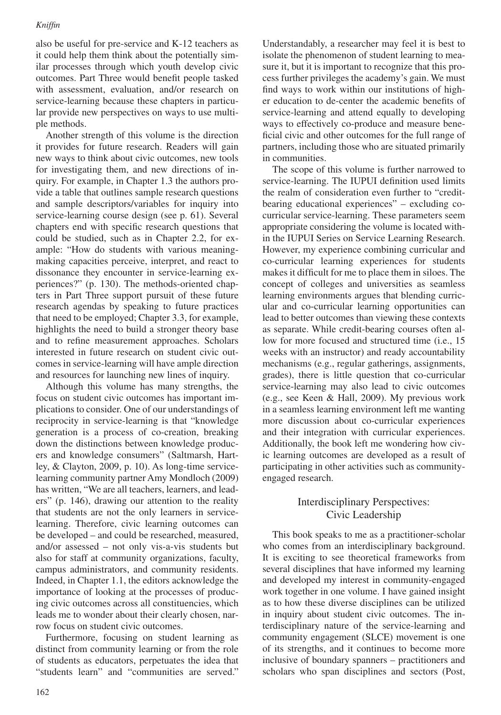also be useful for pre-service and K-12 teachers as it could help them think about the potentially similar processes through which youth develop civic outcomes. Part Three would benefit people tasked with assessment, evaluation, and/or research on service-learning because these chapters in particular provide new perspectives on ways to use multiple methods.

Another strength of this volume is the direction it provides for future research. Readers will gain new ways to think about civic outcomes, new tools for investigating them, and new directions of inquiry. For example, in Chapter 1.3 the authors provide a table that outlines sample research questions and sample descriptors/variables for inquiry into service-learning course design (see p. 61). Several chapters end with specific research questions that could be studied, such as in Chapter 2.2, for example: "How do students with various meaningmaking capacities perceive, interpret, and react to dissonance they encounter in service-learning experiences?" (p. 130). The methods-oriented chapters in Part Three support pursuit of these future research agendas by speaking to future practices that need to be employed; Chapter 3.3, for example, highlights the need to build a stronger theory base and to refine measurement approaches. Scholars interested in future research on student civic outcomes in service-learning will have ample direction and resources for launching new lines of inquiry.

Although this volume has many strengths, the focus on student civic outcomes has important implications to consider. One of our understandings of reciprocity in service-learning is that "knowledge generation is a process of co-creation, breaking down the distinctions between knowledge producers and knowledge consumers" (Saltmarsh, Hartley, & Clayton, 2009, p. 10). As long-time servicelearning community partner Amy Mondloch (2009) has written, "We are all teachers, learners, and leaders" (p. 146), drawing our attention to the reality that students are not the only learners in servicelearning. Therefore, civic learning outcomes can be developed – and could be researched, measured, and/or assessed – not only vis-a-vis students but also for staff at community organizations, faculty, campus administrators, and community residents. Indeed, in Chapter 1.1, the editors acknowledge the importance of looking at the processes of producing civic outcomes across all constituencies, which leads me to wonder about their clearly chosen, narrow focus on student civic outcomes.

Furthermore, focusing on student learning as distinct from community learning or from the role of students as educators, perpetuates the idea that "students learn" and "communities are served."

Understandably, a researcher may feel it is best to isolate the phenomenon of student learning to measure it, but it is important to recognize that this process further privileges the academy's gain. We must find ways to work within our institutions of higher education to de-center the academic benefits of service-learning and attend equally to developing ways to effectively co-produce and measure beneficial civic and other outcomes for the full range of partners, including those who are situated primarily in communities.

The scope of this volume is further narrowed to service-learning. The IUPUI definition used limits the realm of consideration even further to "creditbearing educational experiences" – excluding cocurricular service-learning. These parameters seem appropriate considering the volume is located within the IUPUI Series on Service Learning Research. However, my experience combining curricular and co-curricular learning experiences for students makes it difficult for me to place them in siloes. The concept of colleges and universities as seamless learning environments argues that blending curricular and co-curricular learning opportunities can lead to better outcomes than viewing these contexts as separate. While credit-bearing courses often allow for more focused and structured time (i.e., 15 weeks with an instructor) and ready accountability mechanisms (e.g., regular gatherings, assignments, grades), there is little question that co-curricular service-learning may also lead to civic outcomes (e.g., see Keen & Hall, 2009). My previous work in a seamless learning environment left me wanting more discussion about co-curricular experiences and their integration with curricular experiences. Additionally, the book left me wondering how civic learning outcomes are developed as a result of participating in other activities such as communityengaged research.

# Interdisciplinary Perspectives: Civic Leadership

This book speaks to me as a practitioner-scholar who comes from an interdisciplinary background. It is exciting to see theoretical frameworks from several disciplines that have informed my learning and developed my interest in community-engaged work together in one volume. I have gained insight as to how these diverse disciplines can be utilized in inquiry about student civic outcomes. The interdisciplinary nature of the service-learning and community engagement (SLCE) movement is one of its strengths, and it continues to become more inclusive of boundary spanners – practitioners and scholars who span disciplines and sectors (Post,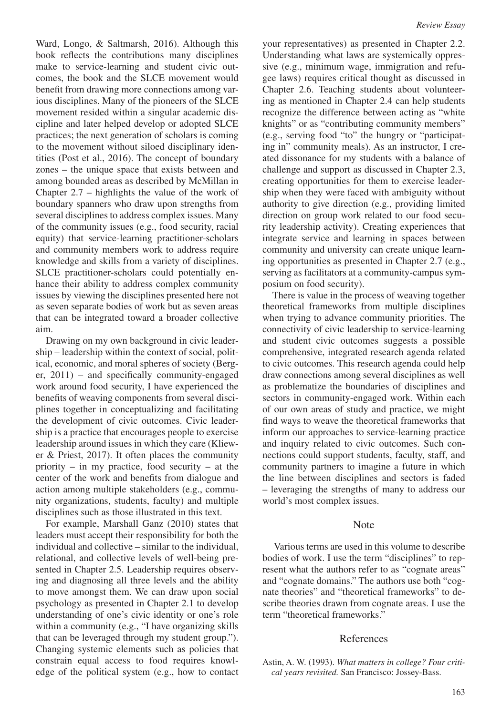Ward, Longo, & Saltmarsh, 2016). Although this book reflects the contributions many disciplines make to service-learning and student civic outcomes, the book and the SLCE movement would benefit from drawing more connections among various disciplines. Many of the pioneers of the SLCE movement resided within a singular academic discipline and later helped develop or adopted SLCE practices; the next generation of scholars is coming to the movement without siloed disciplinary identities (Post et al., 2016). The concept of boundary zones – the unique space that exists between and among bounded areas as described by McMillan in Chapter 2.7 – highlights the value of the work of boundary spanners who draw upon strengths from several disciplines to address complex issues. Many of the community issues (e.g., food security, racial equity) that service-learning practitioner-scholars and community members work to address require knowledge and skills from a variety of disciplines. SLCE practitioner-scholars could potentially enhance their ability to address complex community issues by viewing the disciplines presented here not as seven separate bodies of work but as seven areas that can be integrated toward a broader collective aim.

Drawing on my own background in civic leadership – leadership within the context of social, political, economic, and moral spheres of society (Berger, 2011) – and specifically community-engaged work around food security, I have experienced the benefits of weaving components from several disciplines together in conceptualizing and facilitating the development of civic outcomes. Civic leadership is a practice that encourages people to exercise leadership around issues in which they care (Kliewer & Priest, 2017). It often places the community priority – in my practice, food security – at the center of the work and benefits from dialogue and action among multiple stakeholders (e.g., community organizations, students, faculty) and multiple disciplines such as those illustrated in this text.

For example, Marshall Ganz (2010) states that leaders must accept their responsibility for both the individual and collective – similar to the individual, relational, and collective levels of well-being presented in Chapter 2.5. Leadership requires observing and diagnosing all three levels and the ability to move amongst them. We can draw upon social psychology as presented in Chapter 2.1 to develop understanding of one's civic identity or one's role within a community (e.g., "I have organizing skills that can be leveraged through my student group."). Changing systemic elements such as policies that constrain equal access to food requires knowledge of the political system (e.g., how to contact your representatives) as presented in Chapter 2.2. Understanding what laws are systemically oppressive (e.g., minimum wage, immigration and refugee laws) requires critical thought as discussed in Chapter 2.6. Teaching students about volunteering as mentioned in Chapter 2.4 can help students recognize the difference between acting as "white knights" or as "contributing community members" (e.g., serving food "to" the hungry or "participating in" community meals). As an instructor, I created dissonance for my students with a balance of challenge and support as discussed in Chapter 2.3, creating opportunities for them to exercise leadership when they were faced with ambiguity without authority to give direction (e.g., providing limited direction on group work related to our food security leadership activity). Creating experiences that integrate service and learning in spaces between community and university can create unique learning opportunities as presented in Chapter 2.7 (e.g., serving as facilitators at a community-campus symposium on food security).

There is value in the process of weaving together theoretical frameworks from multiple disciplines when trying to advance community priorities. The connectivity of civic leadership to service-learning and student civic outcomes suggests a possible comprehensive, integrated research agenda related to civic outcomes. This research agenda could help draw connections among several disciplines as well as problematize the boundaries of disciplines and sectors in community-engaged work. Within each of our own areas of study and practice, we might find ways to weave the theoretical frameworks that inform our approaches to service-learning practice and inquiry related to civic outcomes. Such connections could support students, faculty, staff, and community partners to imagine a future in which the line between disciplines and sectors is faded – leveraging the strengths of many to address our world's most complex issues.

#### **Note**

 Various terms are used in this volume to describe bodies of work. I use the term "disciplines" to represent what the authors refer to as "cognate areas" and "cognate domains." The authors use both "cognate theories" and "theoretical frameworks" to describe theories drawn from cognate areas. I use the term "theoretical frameworks."

#### References

Astin, A. W. (1993). *What matters in college? Four critical years revisited.* San Francisco: Jossey-Bass.